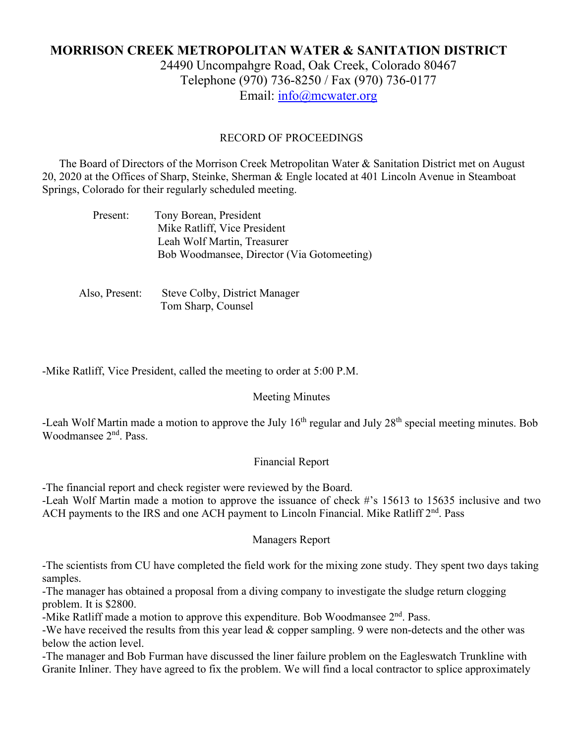# **MORRISON CREEK METROPOLITAN WATER & SANITATION DISTRICT**

24490 Uncompahgre Road, Oak Creek, Colorado 80467 Telephone (970) 736-8250 / Fax (970) 736-0177 Email: [info@mcwater.org](mailto:info@mcwater.org)

#### RECORD OF PROCEEDINGS

 The Board of Directors of the Morrison Creek Metropolitan Water & Sanitation District met on August 20, 2020 at the Offices of Sharp, Steinke, Sherman & Engle located at 401 Lincoln Avenue in Steamboat Springs, Colorado for their regularly scheduled meeting.

| Present: | Tony Borean, President                     |
|----------|--------------------------------------------|
|          | Mike Ratliff, Vice President               |
|          | Leah Wolf Martin, Treasurer                |
|          | Bob Woodmansee, Director (Via Gotomeeting) |

 Also, Present: Steve Colby, District Manager Tom Sharp, Counsel

-Mike Ratliff, Vice President, called the meeting to order at 5:00 P.M.

#### Meeting Minutes

-Leah Wolf Martin made a motion to approve the July 16<sup>th</sup> regular and July 28<sup>th</sup> special meeting minutes. Bob Woodmansee 2nd. Pass.

#### Financial Report

-The financial report and check register were reviewed by the Board.

-Leah Wolf Martin made a motion to approve the issuance of check #'s 15613 to 15635 inclusive and two ACH payments to the IRS and one ACH payment to Lincoln Financial. Mike Ratliff 2<sup>nd</sup>. Pass

#### Managers Report

-The scientists from CU have completed the field work for the mixing zone study. They spent two days taking samples.

-The manager has obtained a proposal from a diving company to investigate the sludge return clogging problem. It is \$2800.

-Mike Ratliff made a motion to approve this expenditure. Bob Woodmansee  $2<sup>nd</sup>$ . Pass.

-We have received the results from this year lead & copper sampling. 9 were non-detects and the other was below the action level.

-The manager and Bob Furman have discussed the liner failure problem on the Eagleswatch Trunkline with Granite Inliner. They have agreed to fix the problem. We will find a local contractor to splice approximately